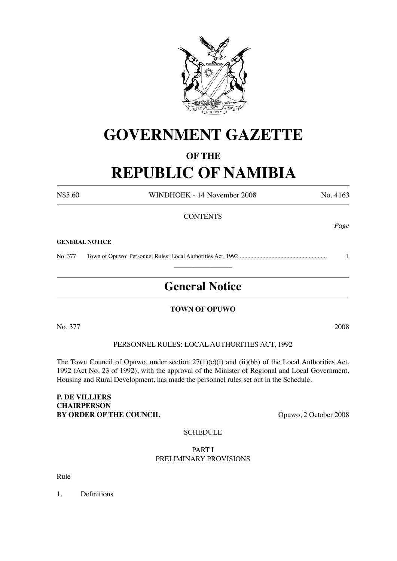

# **GOVERNMENT GAZETTE**

# **OF THE**

# **REPUBLIC OF NAMIBIA**

N\$5.60 WINDHOEK - 14 November 2008 No. 4163

# **CONTENTS**

#### **GENERAL NOTICE**

No. 377 Town of Opuwo: Personnel Rules: Local Authorities Act, 1992 .......................................................... 1  $\overline{\phantom{a}}$  , where  $\overline{\phantom{a}}$ 

# **General Notice**

#### **TOWN OF OPUWO**

No. 377 2008

PERSONNEL RULES: LOCAL AUTHORITIES ACT, 1992

The Town Council of Opuwo, under section 27(1)(c)(i) and (ii)(bb) of the Local Authorities Act, 1992 (Act No. 23 of 1992), with the approval of the Minister of Regional and Local Government, Housing and Rural Development, has made the personnel rules set out in the Schedule.

#### **P. DE VILLIERS CHAIRPERSON BY ORDER OF THE COUNCIL** Opuwo, 2 October 2008

#### **SCHEDULE**

#### PART I PRELIMINARY PROVISIONS

Rule

1. Definitions

*Page*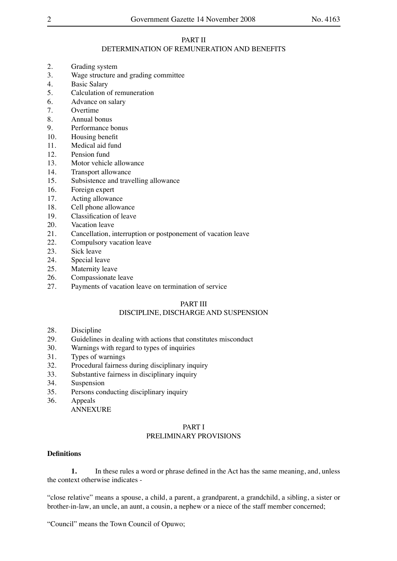#### PART II DETERMINATION OF REMUNERATION AND BENEFITS

- 2. Grading system
- 3. Wage structure and grading committee
- 4. Basic Salary
- 5. Calculation of remuneration
- 6. Advance on salary
- 7. Overtime
- 8. Annual bonus
- 9. Performance bonus
- 10. Housing benefit
- 11. Medical aid fund
- 12. Pension fund
- 13. Motor vehicle allowance
- 14. Transport allowance
- 15. Subsistence and travelling allowance
- 16. Foreign expert
- 17. Acting allowance
- 18. Cell phone allowance
- 19. Classification of leave
- 20. Vacation leave
- 21. Cancellation, interruption or postponement of vacation leave
- 22. Compulsory vacation leave
- 23. Sick leave
- 24. Special leave<br>25. Maternity lear
- Maternity leave
- 26. Compassionate leave
- 27. Payments of vacation leave on termination of service

#### PART III

#### DISCIPLINE, DISCHARGE AND SUSPENSION

- 28. Discipline
- 29. Guidelines in dealing with actions that constitutes misconduct 30. Warnings with regard to types of inquiries
- Warnings with regard to types of inquiries
- 31. Types of warnings
- 32. Procedural fairness during disciplinary inquiry
- 33. Substantive fairness in disciplinary inquiry
- 34. Suspension
- 35. Persons conducting disciplinary inquiry
- 36. Appeals
	- ANNEXURE

#### PART I PRELIMINARY PROVISIONS

#### **Definitions**

**1.** In these rules a word or phrase defined in the Act has the same meaning, and, unless the context otherwise indicates -

"close relative" means a spouse, a child, a parent, a grandparent, a grandchild, a sibling, a sister or brother-in-law, an uncle, an aunt, a cousin, a nephew or a niece of the staff member concerned;

"Council" means the Town Council of Opuwo;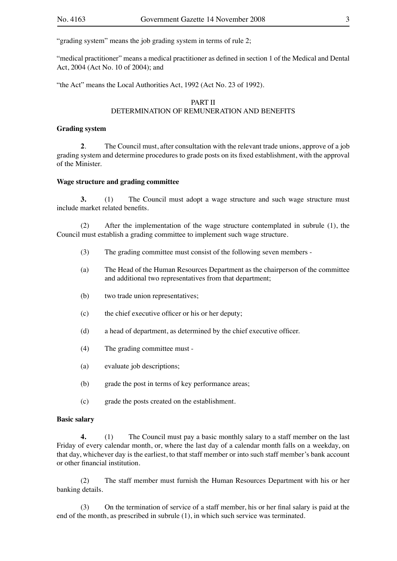"grading system" means the job grading system in terms of rule 2;

"medical practitioner" means a medical practitioner as defined in section 1 of the Medical and Dental Act, 2004 (Act No. 10 of 2004); and

"the Act" means the Local Authorities Act, 1992 (Act No. 23 of 1992).

#### PART II DETERMINATION OF REMUNERATION AND BENEFITS

#### **Grading system**

**2**. The Council must, after consultation with the relevant trade unions, approve of a job grading system and determine procedures to grade posts on its fixed establishment, with the approval of the Minister.

#### **Wage structure and grading committee**

**3.** (1) The Council must adopt a wage structure and such wage structure must include market related benefits.

(2) After the implementation of the wage structure contemplated in subrule (1), the Council must establish a grading committee to implement such wage structure.

- (3) The grading committee must consist of the following seven members -
- (a) The Head of the Human Resources Department as the chairperson of the committee and additional two representatives from that department;
- (b) two trade union representatives;
- (c) the chief executive officer or his or her deputy;
- (d) a head of department, as determined by the chief executive officer.
- (4) The grading committee must -
- (a) evaluate job descriptions;
- (b) grade the post in terms of key performance areas;
- (c) grade the posts created on the establishment.

#### **Basic salary**

**4.** (1) The Council must pay a basic monthly salary to a staff member on the last Friday of every calendar month, or, where the last day of a calendar month falls on a weekday, on that day, whichever day is the earliest, to that staff member or into such staff member's bank account or other financial institution.

(2) The staff member must furnish the Human Resources Department with his or her banking details.

(3) On the termination of service of a staff member, his or her final salary is paid at the end of the month, as prescribed in subrule (1), in which such service was terminated.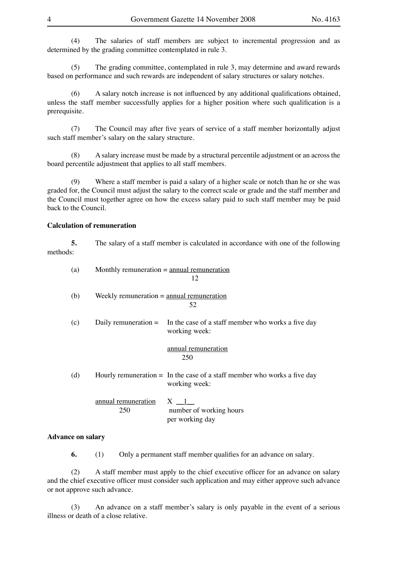(4) The salaries of staff members are subject to incremental progression and as determined by the grading committee contemplated in rule 3.

(5) The grading committee, contemplated in rule 3, may determine and award rewards based on performance and such rewards are independent of salary structures or salary notches.

(6) A salary notch increase is not influenced by any additional qualifications obtained, unless the staff member successfully applies for a higher position where such qualification is a prerequisite.

(7) The Council may after five years of service of a staff member horizontally adjust such staff member's salary on the salary structure.

(8) A salary increase must be made by a structural percentile adjustment or an across the board percentile adjustment that applies to all staff members.

(9) Where a staff member is paid a salary of a higher scale or notch than he or she was graded for, the Council must adjust the salary to the correct scale or grade and the staff member and the Council must together agree on how the excess salary paid to such staff member may be paid back to the Council.

#### **Calculation of remuneration**

**5.** The salary of a staff member is calculated in accordance with one of the following methods:

| (a) | Monthly remuneration $=$ annual remuneration<br>12 |                                                                                             |  |
|-----|----------------------------------------------------|---------------------------------------------------------------------------------------------|--|
| (b) | Weekly remuneration $=$ annual remuneration        | 52                                                                                          |  |
| (c) |                                                    | Daily remuneration $=$ In the case of a staff member who works a five day<br>working week:  |  |
|     |                                                    | annual remuneration<br>250                                                                  |  |
| (d) |                                                    | Hourly remuneration $=$ In the case of a staff member who works a five day<br>working week: |  |
|     | annual remuneration<br>250                         | $X \_1$<br>number of working hours<br>per working day                                       |  |

#### **Advance on salary**

**6.** (1) Only a permanent staff member qualifies for an advance on salary.

(2) A staff member must apply to the chief executive officer for an advance on salary and the chief executive officer must consider such application and may either approve such advance or not approve such advance.

(3) An advance on a staff member's salary is only payable in the event of a serious illness or death of a close relative.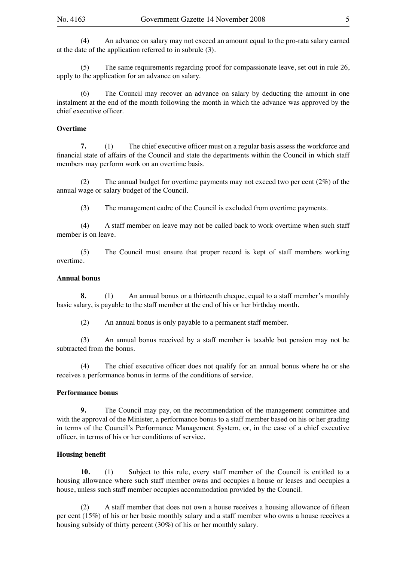(4) An advance on salary may not exceed an amount equal to the pro-rata salary earned at the date of the application referred to in subrule (3).

(5) The same requirements regarding proof for compassionate leave, set out in rule 26, apply to the application for an advance on salary.

(6) The Council may recover an advance on salary by deducting the amount in one instalment at the end of the month following the month in which the advance was approved by the chief executive officer.

#### **Overtime**

**7.** (1) The chief executive officer must on a regular basis assess the workforce and financial state of affairs of the Council and state the departments within the Council in which staff members may perform work on an overtime basis.

(2) The annual budget for overtime payments may not exceed two per cent (2%) of the annual wage or salary budget of the Council.

(3) The management cadre of the Council is excluded from overtime payments.

(4) A staff member on leave may not be called back to work overtime when such staff member is on leave.

(5) The Council must ensure that proper record is kept of staff members working overtime.

#### **Annual bonus**

**8.** (1) An annual bonus or a thirteenth cheque, equal to a staff member's monthly basic salary, is payable to the staff member at the end of his or her birthday month.

(2) An annual bonus is only payable to a permanent staff member.

(3) An annual bonus received by a staff member is taxable but pension may not be subtracted from the bonus.

(4) The chief executive officer does not qualify for an annual bonus where he or she receives a performance bonus in terms of the conditions of service.

#### **Performance bonus**

**9.** The Council may pay, on the recommendation of the management committee and with the approval of the Minister, a performance bonus to a staff member based on his or her grading in terms of the Council's Performance Management System, or, in the case of a chief executive officer, in terms of his or her conditions of service.

#### **Housing benefit**

**10.** (1) Subject to this rule, every staff member of the Council is entitled to a housing allowance where such staff member owns and occupies a house or leases and occupies a house, unless such staff member occupies accommodation provided by the Council.

(2) A staff member that does not own a house receives a housing allowance of fifteen per cent (15%) of his or her basic monthly salary and a staff member who owns a house receives a housing subsidy of thirty percent (30%) of his or her monthly salary.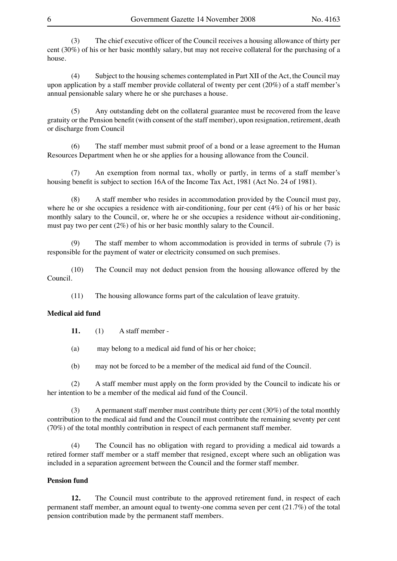(3) The chief executive officer of the Council receives a housing allowance of thirty per cent (30%) of his or her basic monthly salary, but may not receive collateral for the purchasing of a house.

(4) Subject to the housing schemes contemplated in Part XII of the Act, the Council may upon application by a staff member provide collateral of twenty per cent (20%) of a staff member's annual pensionable salary where he or she purchases a house.

(5) Any outstanding debt on the collateral guarantee must be recovered from the leave gratuity or the Pension benefit (with consent of the staff member), upon resignation, retirement, death or discharge from Council

(6) The staff member must submit proof of a bond or a lease agreement to the Human Resources Department when he or she applies for a housing allowance from the Council.

(7) An exemption from normal tax, wholly or partly, in terms of a staff member's housing benefit is subject to section 16A of the Income Tax Act, 1981 (Act No. 24 of 1981).

(8) A staff member who resides in accommodation provided by the Council must pay, where he or she occupies a residence with air-conditioning, four per cent (4%) of his or her basic monthly salary to the Council, or, where he or she occupies a residence without air-conditioning, must pay two per cent (2%) of his or her basic monthly salary to the Council.

(9) The staff member to whom accommodation is provided in terms of subrule (7) is responsible for the payment of water or electricity consumed on such premises.

(10) The Council may not deduct pension from the housing allowance offered by the Council.

(11) The housing allowance forms part of the calculation of leave gratuity.

#### **Medical aid fund**

**11.** (1) A staff member -

(a) may belong to a medical aid fund of his or her choice;

(b) may not be forced to be a member of the medical aid fund of the Council.

(2) A staff member must apply on the form provided by the Council to indicate his or her intention to be a member of the medical aid fund of the Council.

(3) A permanent staff member must contribute thirty per cent (30%) of the total monthly contribution to the medical aid fund and the Council must contribute the remaining seventy per cent (70%) of the total monthly contribution in respect of each permanent staff member.

(4) The Council has no obligation with regard to providing a medical aid towards a retired former staff member or a staff member that resigned, except where such an obligation was included in a separation agreement between the Council and the former staff member.

#### **Pension fund**

**12.** The Council must contribute to the approved retirement fund, in respect of each permanent staff member, an amount equal to twenty-one comma seven per cent (21.7%) of the total pension contribution made by the permanent staff members.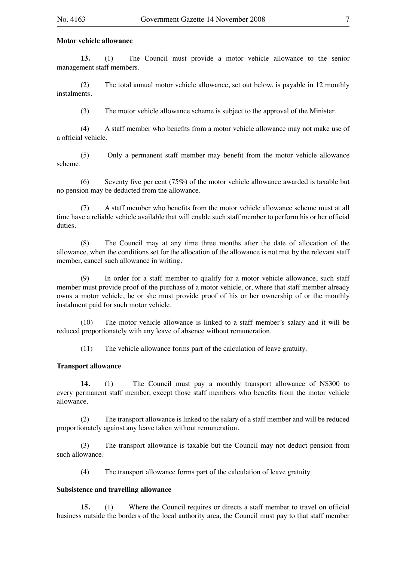#### **Motor vehicle allowance**

**13.** (1) The Council must provide a motor vehicle allowance to the senior management staff members.

(2) The total annual motor vehicle allowance, set out below, is payable in 12 monthly instalments.

(3) The motor vehicle allowance scheme is subject to the approval of the Minister.

(4) A staff member who benefits from a motor vehicle allowance may not make use of a official vehicle.

(5) Only a permanent staff member may benefit from the motor vehicle allowance scheme.

(6) Seventy five per cent (75%) of the motor vehicle allowance awarded is taxable but no pension may be deducted from the allowance.

(7) A staff member who benefits from the motor vehicle allowance scheme must at all time have a reliable vehicle available that will enable such staff member to perform his or her official duties.

(8) The Council may at any time three months after the date of allocation of the allowance, when the conditions set for the allocation of the allowance is not met by the relevant staff member, cancel such allowance in writing.

(9) In order for a staff member to qualify for a motor vehicle allowance, such staff member must provide proof of the purchase of a motor vehicle, or, where that staff member already owns a motor vehicle, he or she must provide proof of his or her ownership of or the monthly instalment paid for such motor vehicle.

(10) The motor vehicle allowance is linked to a staff member's salary and it will be reduced proportionately with any leave of absence without remuneration.

(11) The vehicle allowance forms part of the calculation of leave gratuity.

#### **Transport allowance**

**14.** (1) The Council must pay a monthly transport allowance of N\$300 to every permanent staff member, except those staff members who benefits from the motor vehicle allowance.

(2) The transport allowance is linked to the salary of a staff member and will be reduced proportionately against any leave taken without remuneration.

(3) The transport allowance is taxable but the Council may not deduct pension from such allowance.

(4) The transport allowance forms part of the calculation of leave gratuity

#### **Subsistence and travelling allowance**

**15.** (1) Where the Council requires or directs a staff member to travel on official business outside the borders of the local authority area, the Council must pay to that staff member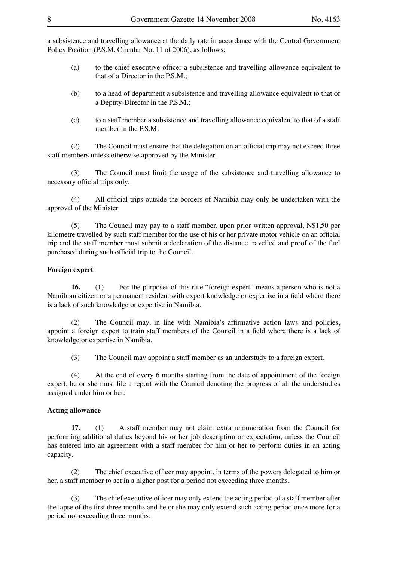a subsistence and travelling allowance at the daily rate in accordance with the Central Government Policy Position (P.S.M. Circular No. 11 of 2006), as follows:

- (a) to the chief executive officer a subsistence and travelling allowance equivalent to that of a Director in the P.S.M.;
- (b) to a head of department a subsistence and travelling allowance equivalent to that of a Deputy-Director in the P.S.M.;
- (c) to a staff member a subsistence and travelling allowance equivalent to that of a staff member in the P.S.M.

(2) The Council must ensure that the delegation on an official trip may not exceed three staff members unless otherwise approved by the Minister.

(3) The Council must limit the usage of the subsistence and travelling allowance to necessary official trips only.

(4) All official trips outside the borders of Namibia may only be undertaken with the approval of the Minister.

(5) The Council may pay to a staff member, upon prior written approval, N\$1,50 per kilometre travelled by such staff member for the use of his or her private motor vehicle on an official trip and the staff member must submit a declaration of the distance travelled and proof of the fuel purchased during such official trip to the Council.

#### **Foreign expert**

**16.** (1) For the purposes of this rule "foreign expert" means a person who is not a Namibian citizen or a permanent resident with expert knowledge or expertise in a field where there is a lack of such knowledge or expertise in Namibia.

(2) The Council may, in line with Namibia's affirmative action laws and policies, appoint a foreign expert to train staff members of the Council in a field where there is a lack of knowledge or expertise in Namibia.

(3) The Council may appoint a staff member as an understudy to a foreign expert.

(4) At the end of every 6 months starting from the date of appointment of the foreign expert, he or she must file a report with the Council denoting the progress of all the understudies assigned under him or her.

#### **Acting allowance**

**17.** (1) A staff member may not claim extra remuneration from the Council for performing additional duties beyond his or her job description or expectation, unless the Council has entered into an agreement with a staff member for him or her to perform duties in an acting capacity.

(2) The chief executive officer may appoint, in terms of the powers delegated to him or her, a staff member to act in a higher post for a period not exceeding three months.

(3) The chief executive officer may only extend the acting period of a staff member after the lapse of the first three months and he or she may only extend such acting period once more for a period not exceeding three months.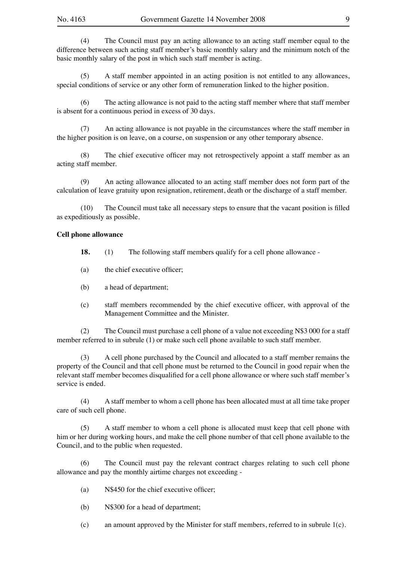(4) The Council must pay an acting allowance to an acting staff member equal to the difference between such acting staff member's basic monthly salary and the minimum notch of the basic monthly salary of the post in which such staff member is acting.

(5) A staff member appointed in an acting position is not entitled to any allowances, special conditions of service or any other form of remuneration linked to the higher position.

The acting allowance is not paid to the acting staff member where that staff member is absent for a continuous period in excess of 30 days.

(7) An acting allowance is not payable in the circumstances where the staff member in the higher position is on leave, on a course, on suspension or any other temporary absence.

(8) The chief executive officer may not retrospectively appoint a staff member as an acting staff member.

(9) An acting allowance allocated to an acting staff member does not form part of the calculation of leave gratuity upon resignation, retirement, death or the discharge of a staff member.

(10) The Council must take all necessary steps to ensure that the vacant position is filled as expeditiously as possible.

#### **Cell phone allowance**

**18.** (1) The following staff members qualify for a cell phone allowance -

- (a) the chief executive officer;
- (b) a head of department;
- (c) staff members recommended by the chief executive officer, with approval of the Management Committee and the Minister.

(2) The Council must purchase a cell phone of a value not exceeding N\$3 000 for a staff member referred to in subrule (1) or make such cell phone available to such staff member.

(3) A cell phone purchased by the Council and allocated to a staff member remains the property of the Council and that cell phone must be returned to the Council in good repair when the relevant staff member becomes disqualified for a cell phone allowance or where such staff member's service is ended.

(4) A staff member to whom a cell phone has been allocated must at all time take proper care of such cell phone.

(5) A staff member to whom a cell phone is allocated must keep that cell phone with him or her during working hours, and make the cell phone number of that cell phone available to the Council, and to the public when requested.

(6) The Council must pay the relevant contract charges relating to such cell phone allowance and pay the monthly airtime charges not exceeding -

- (a) N\$450 for the chief executive officer;
- (b) N\$300 for a head of department;
- (c) an amount approved by the Minister for staff members, referred to in subrule  $1(c)$ .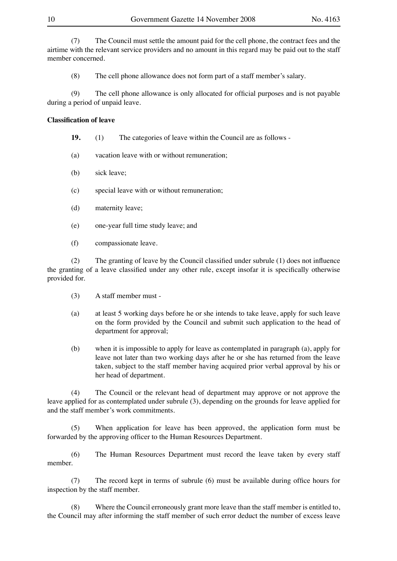(7) The Council must settle the amount paid for the cell phone, the contract fees and the airtime with the relevant service providers and no amount in this regard may be paid out to the staff member concerned.

(8) The cell phone allowance does not form part of a staff member's salary.

(9) The cell phone allowance is only allocated for official purposes and is not payable during a period of unpaid leave.

#### **Classification of leave**

- **19.** (1) The categories of leave within the Council are as follows -
- (a) vacation leave with or without remuneration;
- (b) sick leave;
- (c) special leave with or without remuneration;
- (d) maternity leave;
- (e) one-year full time study leave; and
- (f) compassionate leave.

(2) The granting of leave by the Council classified under subrule (1) does not influence the granting of a leave classified under any other rule, except insofar it is specifically otherwise provided for.

- (3) A staff member must -
- (a) at least 5 working days before he or she intends to take leave, apply for such leave on the form provided by the Council and submit such application to the head of department for approval;
- (b) when it is impossible to apply for leave as contemplated in paragraph (a), apply for leave not later than two working days after he or she has returned from the leave taken, subject to the staff member having acquired prior verbal approval by his or her head of department.

(4) The Council or the relevant head of department may approve or not approve the leave applied for as contemplated under subrule (3), depending on the grounds for leave applied for and the staff member's work commitments.

(5) When application for leave has been approved, the application form must be forwarded by the approving officer to the Human Resources Department.

(6) The Human Resources Department must record the leave taken by every staff member.

(7) The record kept in terms of subrule (6) must be available during office hours for inspection by the staff member.

(8) Where the Council erroneously grant more leave than the staff member is entitled to, the Council may after informing the staff member of such error deduct the number of excess leave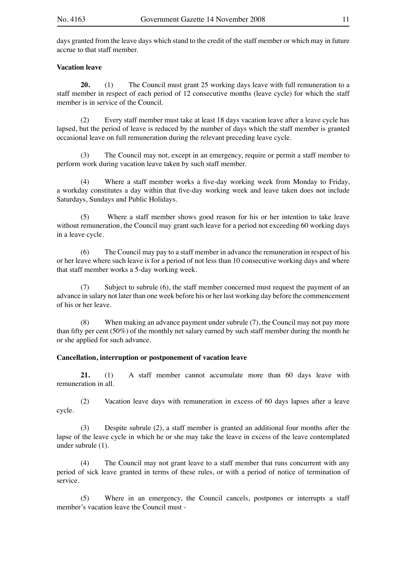days granted from the leave days which stand to the credit of the staff member or which may in future accrue to that staff member.

#### **Vacation leave**

**20.** (1) The Council must grant 25 working days leave with full remuneration to a staff member in respect of each period of 12 consecutive months (leave cycle) for which the staff member is in service of the Council.

(2) Every staff member must take at least 18 days vacation leave after a leave cycle has lapsed, but the period of leave is reduced by the number of days which the staff member is granted occasional leave on full remuneration during the relevant preceding leave cycle.

(3) The Council may not, except in an emergency, require or permit a staff member to perform work during vacation leave taken by such staff member.

(4) Where a staff member works a five-day working week from Monday to Friday, a workday constitutes a day within that five-day working week and leave taken does not include Saturdays, Sundays and Public Holidays.

(5) Where a staff member shows good reason for his or her intention to take leave without remuneration, the Council may grant such leave for a period not exceeding 60 working days in a leave cycle.

(6) The Council may pay to a staff member in advance the remuneration in respect of his or her leave where such leave is for a period of not less than 10 consecutive working days and where that staff member works a 5-day working week.

(7) Subject to subrule (6), the staff member concerned must request the payment of an advance in salary not later than one week before his or her last working day before the commencement of his or her leave.

(8) When making an advance payment under subrule (7), the Council may not pay more than fifty per cent (50%) of the monthly net salary earned by such staff member during the month he or she applied for such advance.

#### **Cancellation, interruption or postponement of vacation leave**

**21.** (1) A staff member cannot accumulate more than 60 days leave with remuneration in all.

(2) Vacation leave days with remuneration in excess of 60 days lapses after a leave cycle.

(3) Despite subrule (2), a staff member is granted an additional four months after the lapse of the leave cycle in which he or she may take the leave in excess of the leave contemplated under subrule (1).

(4) The Council may not grant leave to a staff member that runs concurrent with any period of sick leave granted in terms of these rules, or with a period of notice of termination of service.

(5) Where in an emergency, the Council cancels, postpones or interrupts a staff member's vacation leave the Council must -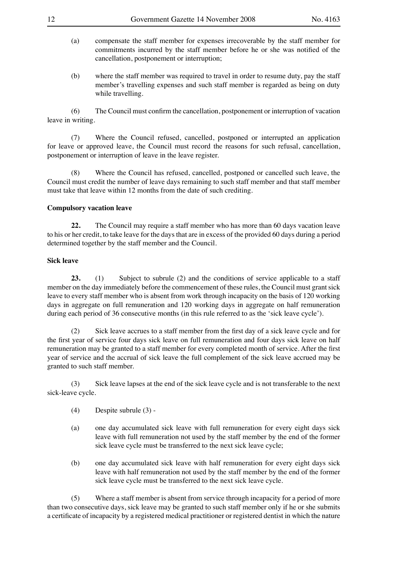- (a) compensate the staff member for expenses irrecoverable by the staff member for commitments incurred by the staff member before he or she was notified of the cancellation, postponement or interruption;
- (b) where the staff member was required to travel in order to resume duty, pay the staff member's travelling expenses and such staff member is regarded as being on duty while travelling.

(6) The Council must confirm the cancellation, postponement or interruption of vacation leave in writing.

(7) Where the Council refused, cancelled, postponed or interrupted an application for leave or approved leave, the Council must record the reasons for such refusal, cancellation, postponement or interruption of leave in the leave register.

(8) Where the Council has refused, cancelled, postponed or cancelled such leave, the Council must credit the number of leave days remaining to such staff member and that staff member must take that leave within 12 months from the date of such crediting.

#### **Compulsory vacation leave**

**22.** The Council may require a staff member who has more than 60 days vacation leave to his or her credit, to take leave for the days that are in excess of the provided 60 days during a period determined together by the staff member and the Council.

#### **Sick leave**

**23.** (1) Subject to subrule (2) and the conditions of service applicable to a staff member on the day immediately before the commencement of these rules, the Council must grant sick leave to every staff member who is absent from work through incapacity on the basis of 120 working days in aggregate on full remuneration and 120 working days in aggregate on half remuneration during each period of 36 consecutive months (in this rule referred to as the 'sick leave cycle').

(2) Sick leave accrues to a staff member from the first day of a sick leave cycle and for the first year of service four days sick leave on full remuneration and four days sick leave on half remuneration may be granted to a staff member for every completed month of service. After the first year of service and the accrual of sick leave the full complement of the sick leave accrued may be granted to such staff member.

(3) Sick leave lapses at the end of the sick leave cycle and is not transferable to the next sick-leave cycle.

- (4) Despite subrule (3) -
- (a) one day accumulated sick leave with full remuneration for every eight days sick leave with full remuneration not used by the staff member by the end of the former sick leave cycle must be transferred to the next sick leave cycle;
- (b) one day accumulated sick leave with half remuneration for every eight days sick leave with half remuneration not used by the staff member by the end of the former sick leave cycle must be transferred to the next sick leave cycle.

(5) Where a staff member is absent from service through incapacity for a period of more than two consecutive days, sick leave may be granted to such staff member only if he or she submits a certificate of incapacity by a registered medical practitioner or registered dentist in which the nature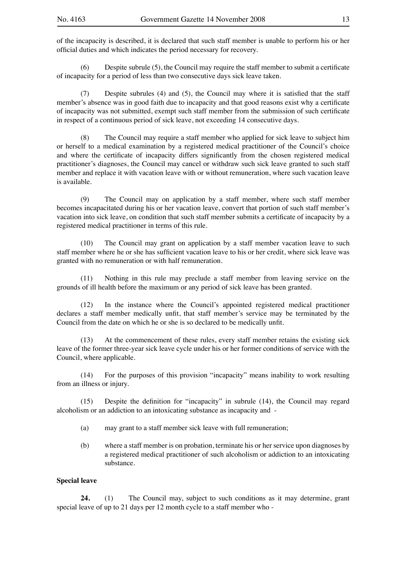of the incapacity is described, it is declared that such staff member is unable to perform his or her official duties and which indicates the period necessary for recovery.

(6) Despite subrule (5), the Council may require the staff member to submit a certificate of incapacity for a period of less than two consecutive days sick leave taken.

(7) Despite subrules (4) and (5), the Council may where it is satisfied that the staff member's absence was in good faith due to incapacity and that good reasons exist why a certificate of incapacity was not submitted, exempt such staff member from the submission of such certificate in respect of a continuous period of sick leave, not exceeding 14 consecutive days.

(8) The Council may require a staff member who applied for sick leave to subject him or herself to a medical examination by a registered medical practitioner of the Council's choice and where the certificate of incapacity differs significantly from the chosen registered medical practitioner's diagnoses, the Council may cancel or withdraw such sick leave granted to such staff member and replace it with vacation leave with or without remuneration, where such vacation leave is available.

(9) The Council may on application by a staff member, where such staff member becomes incapacitated during his or her vacation leave, convert that portion of such staff member's vacation into sick leave, on condition that such staff member submits a certificate of incapacity by a registered medical practitioner in terms of this rule.

(10) The Council may grant on application by a staff member vacation leave to such staff member where he or she has sufficient vacation leave to his or her credit, where sick leave was granted with no remuneration or with half remuneration.

(11) Nothing in this rule may preclude a staff member from leaving service on the grounds of ill health before the maximum or any period of sick leave has been granted.

(12) In the instance where the Council's appointed registered medical practitioner declares a staff member medically unfit, that staff member's service may be terminated by the Council from the date on which he or she is so declared to be medically unfit.

(13) At the commencement of these rules, every staff member retains the existing sick leave of the former three-year sick leave cycle under his or her former conditions of service with the Council, where applicable.

(14) For the purposes of this provision "incapacity" means inability to work resulting from an illness or injury.

(15) Despite the definition for "incapacity" in subrule (14), the Council may regard alcoholism or an addiction to an intoxicating substance as incapacity and -

- (a) may grant to a staff member sick leave with full remuneration;
- (b) where a staff member is on probation, terminate his or her service upon diagnoses by a registered medical practitioner of such alcoholism or addiction to an intoxicating substance.

#### **Special leave**

**24.** (1) The Council may, subject to such conditions as it may determine, grant special leave of up to 21 days per 12 month cycle to a staff member who -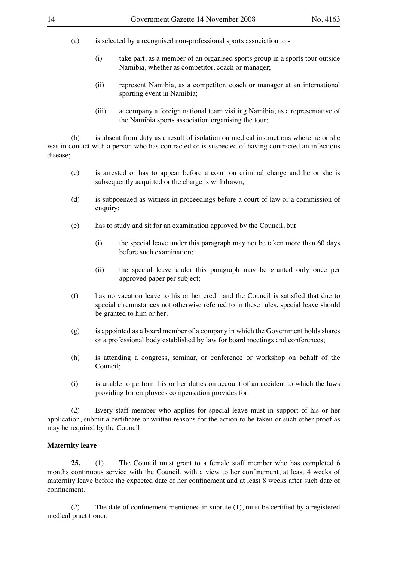- (a) is selected by a recognised non-professional sports association to
	- (i) take part, as a member of an organised sports group in a sports tour outside Namibia, whether as competitor, coach or manager;
	- (ii) represent Namibia, as a competitor, coach or manager at an international sporting event in Namibia;
	- (iii) accompany a foreign national team visiting Namibia, as a representative of the Namibia sports association organising the tour;

(b) is absent from duty as a result of isolation on medical instructions where he or she was in contact with a person who has contracted or is suspected of having contracted an infectious disease;

- (c) is arrested or has to appear before a court on criminal charge and he or she is subsequently acquitted or the charge is withdrawn;
- (d) is subpoenaed as witness in proceedings before a court of law or a commission of enquiry;
- (e) has to study and sit for an examination approved by the Council, but
	- (i) the special leave under this paragraph may not be taken more than 60 days before such examination;
	- (ii) the special leave under this paragraph may be granted only once per approved paper per subject;
- (f) has no vacation leave to his or her credit and the Council is satisfied that due to special circumstances not otherwise referred to in these rules, special leave should be granted to him or her;
- (g) is appointed as a board member of a company in which the Government holds shares or a professional body established by law for board meetings and conferences;
- (h) is attending a congress, seminar, or conference or workshop on behalf of the Council;
- (i) is unable to perform his or her duties on account of an accident to which the laws providing for employees compensation provides for.

(2) Every staff member who applies for special leave must in support of his or her application, submit a certificate or written reasons for the action to be taken or such other proof as may be required by the Council.

#### **Maternity leave**

**25.** (1) The Council must grant to a female staff member who has completed 6 months continuous service with the Council, with a view to her confinement, at least 4 weeks of maternity leave before the expected date of her confinement and at least 8 weeks after such date of confinement.

(2) The date of confinement mentioned in subrule (1), must be certified by a registered medical practitioner.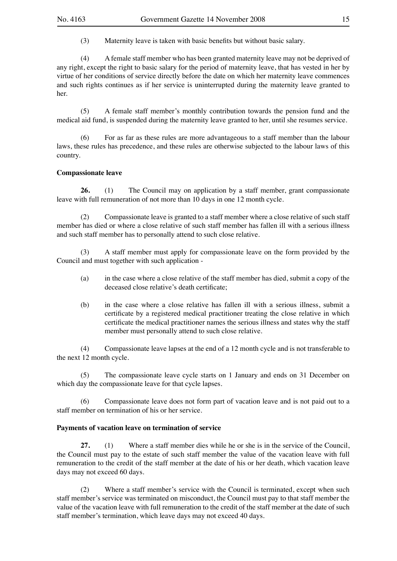(3) Maternity leave is taken with basic benefits but without basic salary.

(4) A female staff member who has been granted maternity leave may not be deprived of any right, except the right to basic salary for the period of maternity leave, that has vested in her by virtue of her conditions of service directly before the date on which her maternity leave commences and such rights continues as if her service is uninterrupted during the maternity leave granted to her.

(5) A female staff member's monthly contribution towards the pension fund and the medical aid fund, is suspended during the maternity leave granted to her, until she resumes service.

(6) For as far as these rules are more advantageous to a staff member than the labour laws, these rules has precedence, and these rules are otherwise subjected to the labour laws of this country.

#### **Compassionate leave**

**26.** (1) The Council may on application by a staff member, grant compassionate leave with full remuneration of not more than 10 days in one 12 month cycle.

(2) Compassionate leave is granted to a staff member where a close relative of such staff member has died or where a close relative of such staff member has fallen ill with a serious illness and such staff member has to personally attend to such close relative.

(3) A staff member must apply for compassionate leave on the form provided by the Council and must together with such application -

- (a) in the case where a close relative of the staff member has died, submit a copy of the deceased close relative's death certificate;
- (b) in the case where a close relative has fallen ill with a serious illness, submit a certificate by a registered medical practitioner treating the close relative in which certificate the medical practitioner names the serious illness and states why the staff member must personally attend to such close relative.

(4) Compassionate leave lapses at the end of a 12 month cycle and is not transferable to the next 12 month cycle.

(5) The compassionate leave cycle starts on 1 January and ends on 31 December on which day the compassionate leave for that cycle lapses.

(6) Compassionate leave does not form part of vacation leave and is not paid out to a staff member on termination of his or her service.

#### **Payments of vacation leave on termination of service**

**27.** (1) Where a staff member dies while he or she is in the service of the Council, the Council must pay to the estate of such staff member the value of the vacation leave with full remuneration to the credit of the staff member at the date of his or her death, which vacation leave days may not exceed 60 days.

(2) Where a staff member's service with the Council is terminated, except when such staff member's service was terminated on misconduct, the Council must pay to that staff member the value of the vacation leave with full remuneration to the credit of the staff member at the date of such staff member's termination, which leave days may not exceed 40 days.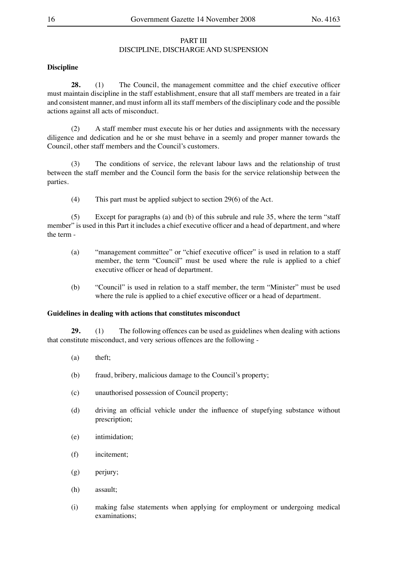#### PART III DISCIPLINE, DISCHARGE AND SUSPENSION

#### **Discipline**

**28.** (1) The Council, the management committee and the chief executive officer must maintain discipline in the staff establishment, ensure that all staff members are treated in a fair and consistent manner, and must inform all its staff members of the disciplinary code and the possible actions against all acts of misconduct.

(2) A staff member must execute his or her duties and assignments with the necessary diligence and dedication and he or she must behave in a seemly and proper manner towards the Council, other staff members and the Council's customers.

(3) The conditions of service, the relevant labour laws and the relationship of trust between the staff member and the Council form the basis for the service relationship between the parties.

(4) This part must be applied subject to section 29(6) of the Act.

(5) Except for paragraphs (a) and (b) of this subrule and rule 35, where the term "staff member" is used in this Part it includes a chief executive officer and a head of department, and where the term -

- (a) "management committee" or "chief executive officer" is used in relation to a staff member, the term "Council" must be used where the rule is applied to a chief executive officer or head of department.
- (b) "Council" is used in relation to a staff member, the term "Minister" must be used where the rule is applied to a chief executive officer or a head of department.

#### **Guidelines in dealing with actions that constitutes misconduct**

**29.** (1) The following offences can be used as guidelines when dealing with actions that constitute misconduct, and very serious offences are the following -

- (a) theft;
- (b) fraud, bribery, malicious damage to the Council's property;
- (c) unauthorised possession of Council property;
- (d) driving an official vehicle under the influence of stupefying substance without prescription;
- (e) intimidation;
- (f) incitement;
- (g) perjury;
- (h) assault;
- (i) making false statements when applying for employment or undergoing medical examinations;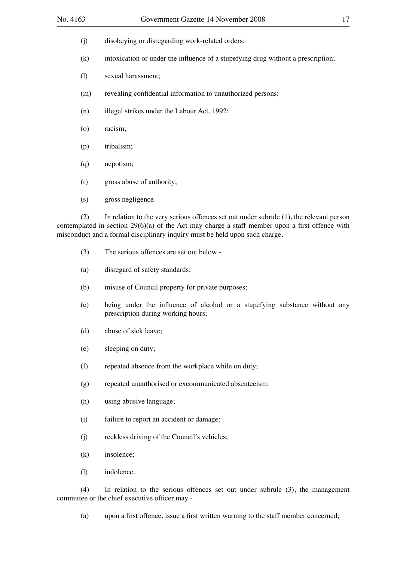- (j) disobeying or disregarding work-related orders;
- (k) intoxication or under the influence of a stupefying drug without a prescription;
- (l) sexual harassment;
- (m) revealing confidential information to unauthorized persons;
- (n) illegal strikes under the Labour Act, 1992;
- (o) racism;
- (p) tribalism;
- (q) nepotism;
- (r) gross abuse of authority;
- (s) gross negligence.

(2) In relation to the very serious offences set out under subrule (1), the relevant person contemplated in section 29(6)(a) of the Act may charge a staff member upon a first offence with misconduct and a formal disciplinary inquiry must be held upon such charge.

- (3) The serious offences are set out below -
- (a) disregard of safety standards;
- (b) misuse of Council property for private purposes;
- (c) being under the influence of alcohol or a stupefying substance without any prescription during working hours;
- (d) abuse of sick leave;
- (e) sleeping on duty;
- (f) repeated absence from the workplace while on duty;
- (g) repeated unauthorised or excommunicated absenteeism;
- (h) using abusive language;
- (i) failure to report an accident or damage;
- (j) reckless driving of the Council's vehicles;
- (k) insolence;
- (l) indolence.

(4) In relation to the serious offences set out under subrule (3), the management committee or the chief executive officer may -

(a) upon a first offence, issue a first written warning to the staff member concerned;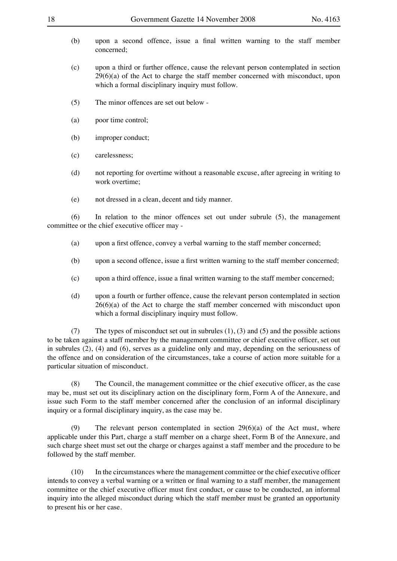- 
- (b) upon a second offence, issue a final written warning to the staff member concerned;
- (c) upon a third or further offence, cause the relevant person contemplated in section  $29(6)(a)$  of the Act to charge the staff member concerned with misconduct, upon which a formal disciplinary inquiry must follow.
- (5) The minor offences are set out below -
- (a) poor time control;
- (b) improper conduct;
- (c) carelessness;
- (d) not reporting for overtime without a reasonable excuse, after agreeing in writing to work overtime;
- (e) not dressed in a clean, decent and tidy manner.

(6) In relation to the minor offences set out under subrule (5), the management committee or the chief executive officer may -

- (a) upon a first offence, convey a verbal warning to the staff member concerned;
- (b) upon a second offence, issue a first written warning to the staff member concerned;
- (c) upon a third offence, issue a final written warning to the staff member concerned;
- (d) upon a fourth or further offence, cause the relevant person contemplated in section  $26(6)(a)$  of the Act to charge the staff member concerned with misconduct upon which a formal disciplinary inquiry must follow.

(7) The types of misconduct set out in subrules (1), (3) and (5) and the possible actions to be taken against a staff member by the management committee or chief executive officer, set out in subrules (2), (4) and (6), serves as a guideline only and may, depending on the seriousness of the offence and on consideration of the circumstances, take a course of action more suitable for a particular situation of misconduct.

(8) The Council, the management committee or the chief executive officer, as the case may be, must set out its disciplinary action on the disciplinary form, Form A of the Annexure, and issue such Form to the staff member concerned after the conclusion of an informal disciplinary inquiry or a formal disciplinary inquiry, as the case may be.

(9) The relevant person contemplated in section 29(6)(a) of the Act must, where applicable under this Part, charge a staff member on a charge sheet, Form B of the Annexure, and such charge sheet must set out the charge or charges against a staff member and the procedure to be followed by the staff member.

(10) In the circumstances where the management committee or the chief executive officer intends to convey a verbal warning or a written or final warning to a staff member, the management committee or the chief executive officer must first conduct, or cause to be conducted, an informal inquiry into the alleged misconduct during which the staff member must be granted an opportunity to present his or her case.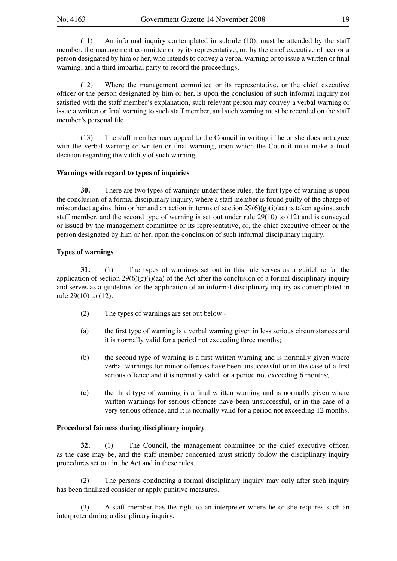(11) An informal inquiry contemplated in subrule (10), must be attended by the staff member, the management committee or by its representative, or, by the chief executive officer or a person designated by him or her, who intends to convey a verbal warning or to issue a written or final warning, and a third impartial party to record the proceedings.

(12) Where the management committee or its representative, or the chief executive officer or the person designated by him or her, is upon the conclusion of such informal inquiry not satisfied with the staff member's explanation, such relevant person may convey a verbal warning or issue a written or final warning to such staff member, and such warning must be recorded on the staff member's personal file.

(13) The staff member may appeal to the Council in writing if he or she does not agree with the verbal warning or written or final warning, upon which the Council must make a final decision regarding the validity of such warning.

#### **Warnings with regard to types of inquiries**

**30.** There are two types of warnings under these rules, the first type of warning is upon the conclusion of a formal disciplinary inquiry, where a staff member is found guilty of the charge of misconduct against him or her and an action in terms of section  $29(6)(g)(i)(aa)$  is taken against such staff member, and the second type of warning is set out under rule 29(10) to (12) and is conveyed or issued by the management committee or its representative, or, the chief executive officer or the person designated by him or her, upon the conclusion of such informal disciplinary inquiry.

#### **Types of warnings**

**31.** (1) The types of warnings set out in this rule serves as a guideline for the application of section  $29(6)(g)(i)(aa)$  of the Act after the conclusion of a formal disciplinary inquiry and serves as a guideline for the application of an informal disciplinary inquiry as contemplated in rule 29(10) to (12).

- (2) The types of warnings are set out below -
- (a) the first type of warning is a verbal warning given in less serious circumstances and it is normally valid for a period not exceeding three months;
- (b) the second type of warning is a first written warning and is normally given where verbal warnings for minor offences have been unsuccessful or in the case of a first serious offence and it is normally valid for a period not exceeding 6 months;
- (c) the third type of warning is a final written warning and is normally given where written warnings for serious offences have been unsuccessful, or in the case of a very serious offence, and it is normally valid for a period not exceeding 12 months.

#### **Procedural fairness during disciplinary inquiry**

**32.** (1) The Council, the management committee or the chief executive officer, as the case may be, and the staff member concerned must strictly follow the disciplinary inquiry procedures set out in the Act and in these rules.

(2) The persons conducting a formal disciplinary inquiry may only after such inquiry has been finalized consider or apply punitive measures.

(3) A staff member has the right to an interpreter where he or she requires such an interpreter during a disciplinary inquiry.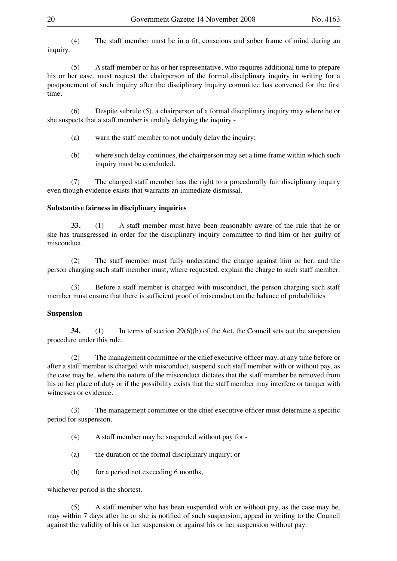(4) The staff member must be in a fit, conscious and sober frame of mind during an inquiry.

(5) A staff member or his or her representative, who requires additional time to prepare his or her case, must request the chairperson of the formal disciplinary inquiry in writing for a postponement of such inquiry after the disciplinary inquiry committee has convened for the first time.

(6) Despite subrule (5), a chairperson of a formal disciplinary inquiry may where he or she suspects that a staff member is unduly delaying the inquiry -

- (a) warn the staff member to not unduly delay the inquiry;
- (b) where such delay continues, the chairperson may set a time frame within which such inquiry must be concluded.

(7) The charged staff member has the right to a procedurally fair disciplinary inquiry even though evidence exists that warrants an immediate dismissal.

#### **Substantive fairness in disciplinary inquiries**

**33.** (1) A staff member must have been reasonably aware of the rule that he or she has transgressed in order for the disciplinary inquiry committee to find him or her guilty of misconduct.

(2) The staff member must fully understand the charge against him or her, and the person charging such staff member must, where requested, explain the charge to such staff member.

(3) Before a staff member is charged with misconduct, the person charging such staff member must ensure that there is sufficient proof of misconduct on the balance of probabilities

#### **Suspension**

**34.** (1) In terms of section 29(6)(b) of the Act, the Council sets out the suspension procedure under this rule.

(2) The management committee or the chief executive officer may, at any time before or after a staff member is charged with misconduct, suspend such staff member with or without pay, as the case may be, where the nature of the misconduct dictates that the staff member be removed from his or her place of duty or if the possibility exists that the staff member may interfere or tamper with witnesses or evidence.

(3) The management committee or the chief executive officer must determine a specific period for suspension.

- (4) A staff member may be suspended without pay for -
- (a) the duration of the formal disciplinary inquiry; or
- (b) for a period not exceeding 6 months,

whichever period is the shortest.

(5) A staff member who has been suspended with or without pay, as the case may be, may within 7 days after he or she is notified of such suspension, appeal in writing to the Council against the validity of his or her suspension or against his or her suspension without pay.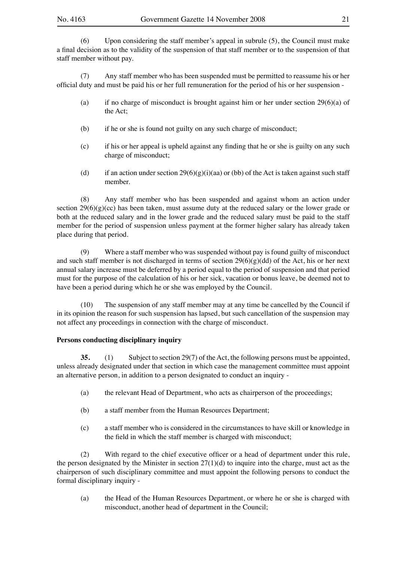(6) Upon considering the staff member's appeal in subrule (5), the Council must make a final decision as to the validity of the suspension of that staff member or to the suspension of that staff member without pay.

(7) Any staff member who has been suspended must be permitted to reassume his or her official duty and must be paid his or her full remuneration for the period of his or her suspension -

- (a) if no charge of misconduct is brought against him or her under section  $29(6)(a)$  of the Act;
- (b) if he or she is found not guilty on any such charge of misconduct;
- (c) if his or her appeal is upheld against any finding that he or she is guilty on any such charge of misconduct;
- (d) if an action under section  $29(6)(g)(i)(aa)$  or (bb) of the Act is taken against such staff member.

(8) Any staff member who has been suspended and against whom an action under section  $29(6)(g)(ce)$  has been taken, must assume duty at the reduced salary or the lower grade or both at the reduced salary and in the lower grade and the reduced salary must be paid to the staff member for the period of suspension unless payment at the former higher salary has already taken place during that period.

(9) Where a staff member who was suspended without pay is found guilty of misconduct and such staff member is not discharged in terms of section  $29(6)(g)(dd)$  of the Act, his or her next annual salary increase must be deferred by a period equal to the period of suspension and that period must for the purpose of the calculation of his or her sick, vacation or bonus leave, be deemed not to have been a period during which he or she was employed by the Council.

(10) The suspension of any staff member may at any time be cancelled by the Council if in its opinion the reason for such suspension has lapsed, but such cancellation of the suspension may not affect any proceedings in connection with the charge of misconduct.

#### **Persons conducting disciplinary inquiry**

**35.** (1) Subject to section 29(7) of the Act, the following persons must be appointed, unless already designated under that section in which case the management committee must appoint an alternative person, in addition to a person designated to conduct an inquiry -

- (a) the relevant Head of Department, who acts as chairperson of the proceedings;
- (b) a staff member from the Human Resources Department;
- (c) a staff member who is considered in the circumstances to have skill or knowledge in the field in which the staff member is charged with misconduct;

(2) With regard to the chief executive officer or a head of department under this rule, the person designated by the Minister in section  $27(1)(d)$  to inquire into the charge, must act as the chairperson of such disciplinary committee and must appoint the following persons to conduct the formal disciplinary inquiry -

(a) the Head of the Human Resources Department, or where he or she is charged with misconduct, another head of department in the Council;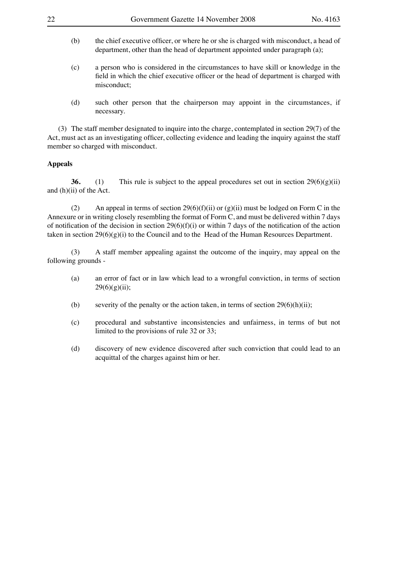- 
- (b) the chief executive officer, or where he or she is charged with misconduct, a head of department, other than the head of department appointed under paragraph (a);
- (c) a person who is considered in the circumstances to have skill or knowledge in the field in which the chief executive officer or the head of department is charged with misconduct;
- (d) such other person that the chairperson may appoint in the circumstances, if necessary.

 (3) The staff member designated to inquire into the charge, contemplated in section 29(7) of the Act, must act as an investigating officer, collecting evidence and leading the inquiry against the staff member so charged with misconduct.

#### **Appeals**

**36.** (1) This rule is subject to the appeal procedures set out in section  $29(6)(g)(ii)$ and (h)(ii) of the Act.

(2) An appeal in terms of section 29(6)(f)(ii) or (g)(ii) must be lodged on Form C in the Annexure or in writing closely resembling the format of Form C, and must be delivered within 7 days of notification of the decision in section  $29(6)(f)(i)$  or within 7 days of the notification of the action taken in section  $29(6)(g)(i)$  to the Council and to the Head of the Human Resources Department.

(3) A staff member appealing against the outcome of the inquiry, may appeal on the following grounds -

- (a) an error of fact or in law which lead to a wrongful conviction, in terms of section  $29(6)(g)(ii);$
- (b) severity of the penalty or the action taken, in terms of section  $29(6)(h)(ii)$ ;
- (c) procedural and substantive inconsistencies and unfairness, in terms of but not limited to the provisions of rule 32 or 33;
- (d) discovery of new evidence discovered after such conviction that could lead to an acquittal of the charges against him or her.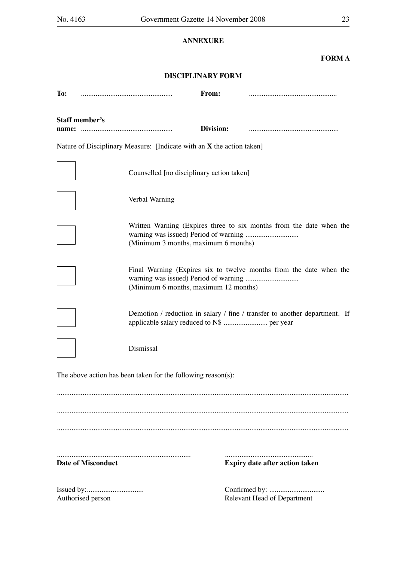# **ANNEXURE**

### **FORM A**

### **DISCIPLINARY FORM**

| To:                                                                                                         |                                                                       | From:     |                                                                            |  |
|-------------------------------------------------------------------------------------------------------------|-----------------------------------------------------------------------|-----------|----------------------------------------------------------------------------|--|
| <b>Staff member's</b><br>name:                                                                              |                                                                       | Division: |                                                                            |  |
|                                                                                                             | Nature of Disciplinary Measure: [Indicate with an X the action taken] |           |                                                                            |  |
|                                                                                                             | Counselled [no disciplinary action taken]                             |           |                                                                            |  |
|                                                                                                             | Verbal Warning                                                        |           |                                                                            |  |
| Written Warning (Expires three to six months from the date when the<br>(Minimum 3 months, maximum 6 months) |                                                                       |           |                                                                            |  |
|                                                                                                             | (Minimum 6 months, maximum 12 months)                                 |           | Final Warning (Expires six to twelve months from the date when the         |  |
|                                                                                                             | applicable salary reduced to N\$  per year                            |           | Demotion / reduction in salary / fine / transfer to another department. If |  |
|                                                                                                             | Dismissal                                                             |           |                                                                            |  |
|                                                                                                             | The above action has been taken for the following reason(s):          |           |                                                                            |  |
|                                                                                                             |                                                                       |           |                                                                            |  |
|                                                                                                             |                                                                       |           |                                                                            |  |
|                                                                                                             |                                                                       |           |                                                                            |  |
| <b>Date of Misconduct</b>                                                                                   |                                                                       |           | <b>Expiry date after action taken</b>                                      |  |
| Authorised person                                                                                           |                                                                       |           | <b>Relevant Head of Department</b>                                         |  |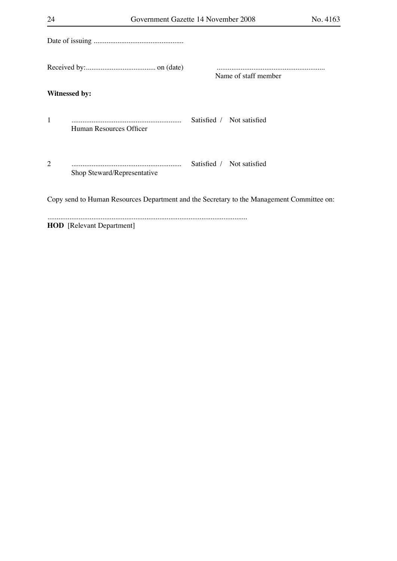|                                                                                           |                             | Name of staff member |                           |  |  |  |
|-------------------------------------------------------------------------------------------|-----------------------------|----------------------|---------------------------|--|--|--|
| <b>Witnessed by:</b>                                                                      |                             |                      |                           |  |  |  |
| $\mathbf{1}$                                                                              | Human Resources Officer     |                      | Satisfied / Not satisfied |  |  |  |
| $\overline{2}$                                                                            | Shop Steward/Representative |                      | Satisfied / Not satisfied |  |  |  |
| Copy send to Human Resources Department and the Secretary to the Management Committee on: |                             |                      |                           |  |  |  |
|                                                                                           |                             |                      |                           |  |  |  |

**HOD** [Relevant Department]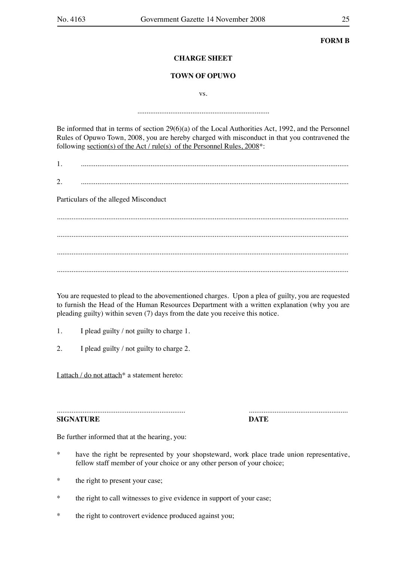**FORM B**

#### **CHARGE SHEET**

#### **TOWN OF OPUWO**

vs.

........................................................................

Be informed that in terms of section 29(6)(a) of the Local Authorities Act, 1992, and the Personnel Rules of Opuwo Town, 2008, you are hereby charged with misconduct in that you contravened the following section(s) of the Act / rule(s) of the Personnel Rules, 2008\*:

1. ..................................................................................................................................................

2. ..................................................................................................................................................

Particulars of the alleged Misconduct

............................................................................................................................................................... ............................................................................................................................................................... ............................................................................................................................................................... ...............................................................................................................................................................

You are requested to plead to the abovementioned charges. Upon a plea of guilty, you are requested to furnish the Head of the Human Resources Department with a written explanation (why you are pleading guilty) within seven (7) days from the date you receive this notice.

- 1. I plead guilty / not guilty to charge 1.
- 2. I plead guilty / not guilty to charge 2.

I attach / do not attach<sup>\*</sup> a statement hereto:

...................................................................... ...................................................... **SIGNATURE DATE**

Be further informed that at the hearing, you:

- \* have the right be represented by your shopsteward, work place trade union representative, fellow staff member of your choice or any other person of your choice;
- \* the right to present your case;
- \* the right to call witnesses to give evidence in support of your case;
- \* the right to controvert evidence produced against you;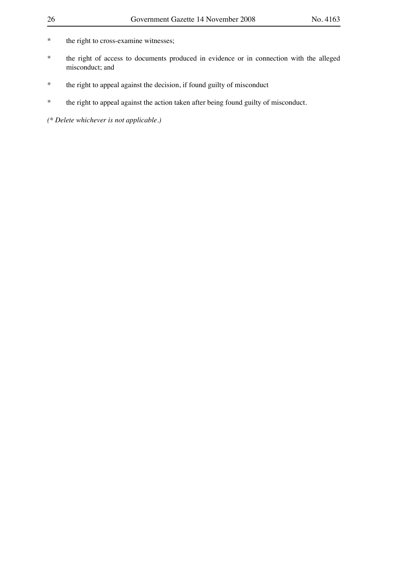- \* the right to cross-examine witnesses;
- \* the right of access to documents produced in evidence or in connection with the alleged misconduct; and
- \* the right to appeal against the decision, if found guilty of misconduct
- \* the right to appeal against the action taken after being found guilty of misconduct.

*(\* Delete whichever is not applicable.)*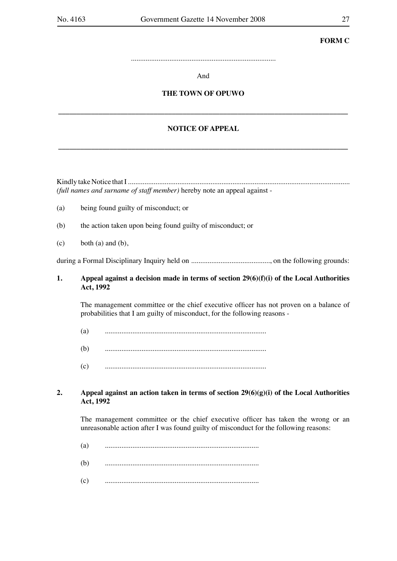# **FORM C**

...............................................................................

And

# **THE TOWN OF OPUWO**

**\_\_\_\_\_\_\_\_\_\_\_\_\_\_\_\_\_\_\_\_\_\_\_\_\_\_\_\_\_\_\_\_\_\_\_\_\_\_\_\_\_\_\_\_\_\_\_\_\_\_\_\_\_\_\_\_\_\_\_\_\_\_\_\_\_\_\_\_\_\_\_\_\_\_\_\_\_\_\_**

# **NOTICE OF APPEAL**

**\_\_\_\_\_\_\_\_\_\_\_\_\_\_\_\_\_\_\_\_\_\_\_\_\_\_\_\_\_\_\_\_\_\_\_\_\_\_\_\_\_\_\_\_\_\_\_\_\_\_\_\_\_\_\_\_\_\_\_\_\_\_\_\_\_\_\_\_\_\_\_\_\_\_\_\_\_\_\_**

Kindly take Notice that I ......................................................................................................................... *(full names and surname of staff member)* hereby note an appeal against -

- (a) being found guilty of misconduct; or
- (b) the action taken upon being found guilty of misconduct; or
- $(c)$  both  $(a)$  and  $(b)$ ,

during a Formal Disciplinary Inquiry held on ..........................................., on the following grounds:

#### **1. Appeal against a decision made in terms of section 29(6)(f)(i) of the Local Authorities Act, 1992**

The management committee or the chief executive officer has not proven on a balance of probabilities that I am guilty of misconduct, for the following reasons -

- (a) ........................................................................................
- (b) ........................................................................................
- (c) ........................................................................................

#### **2. Appeal against an action taken in terms of section 29(6)(g)(i) of the Local Authorities Act, 1992**

The management committee or the chief executive officer has taken the wrong or an unreasonable action after I was found guilty of misconduct for the following reasons:

- (a) ....................................................................................
- (b) ....................................................................................
- (c) ....................................................................................